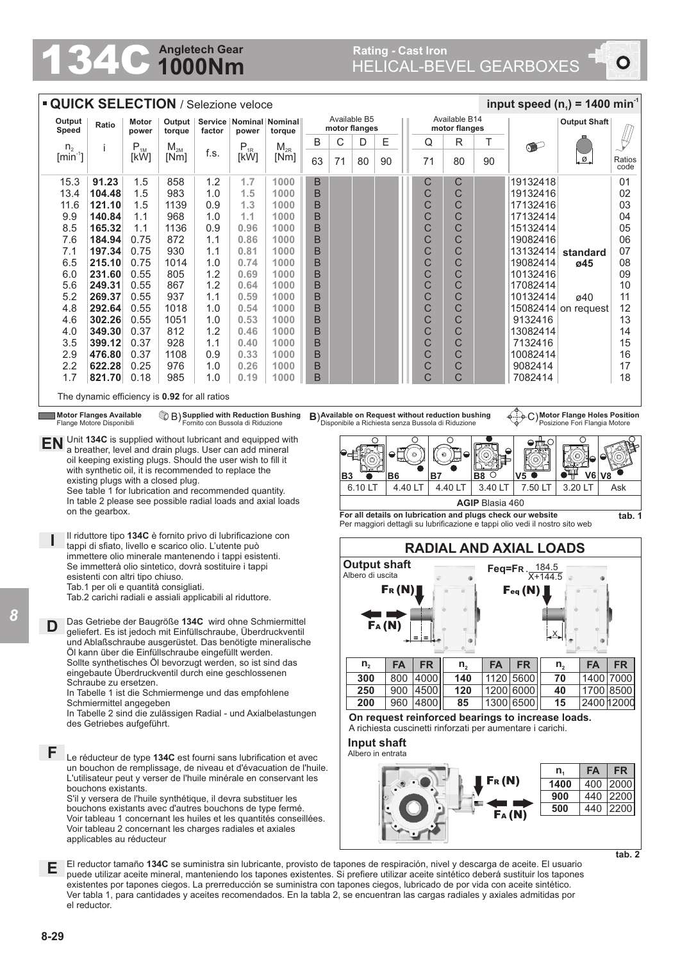## **1000Nm Angletech Gear**<br>
1000Nm

## HELICAL-BEVEL GEARBOXES **Rating - Cast Iron**

 $\bullet$ 

| input speed ( $n_1$ ) = 1400 min <sup>-1</sup><br><b>QUICK SELECTION / Selezione veloce</b>                                                                   |                                                                                                                                     |                                                                                                 |             |            |                   |                                                                                     |         |         |                                      |                                       |  |                                                    |                |                        |                                                                                                                                                                                                                                                                           |                                |                |  |  |
|---------------------------------------------------------------------------------------------------------------------------------------------------------------|-------------------------------------------------------------------------------------------------------------------------------------|-------------------------------------------------------------------------------------------------|-------------|------------|-------------------|-------------------------------------------------------------------------------------|---------|---------|--------------------------------------|---------------------------------------|--|----------------------------------------------------|----------------|------------------------|---------------------------------------------------------------------------------------------------------------------------------------------------------------------------------------------------------------------------------------------------------------------------|--------------------------------|----------------|--|--|
| Output<br>Speed                                                                                                                                               | Ratio                                                                                                                               | Output   Service   Nominal   Nominal  <br>Motor<br>torque<br>factor<br>power<br>power<br>torque |             |            |                   | Available B5<br>motor flanges                                                       |         |         |                                      | Available B14<br>motor flanges        |  |                                                    |                | <b>Output Shaft</b>    |                                                                                                                                                                                                                                                                           |                                |                |  |  |
| $n_{2}$                                                                                                                                                       | i                                                                                                                                   | $\mathsf{P}_{\textsc{1M}}$                                                                      | $M_{2M}$    |            | $P_{1R}$          | $\mathsf{M}_{\mathsf{2R}}$                                                          | B       | С       | D                                    | Ε                                     |  | Q                                                  | R              | Τ                      |                                                                                                                                                                                                                                                                           |                                |                |  |  |
| $[min^{-1}]$                                                                                                                                                  |                                                                                                                                     | [kW]                                                                                            | [Nm]        | f.s.       | [kW]              | [Nm]                                                                                | 63      | 71      | 80                                   | 90                                    |  | 71                                                 | 80             | 90                     |                                                                                                                                                                                                                                                                           | Ø                              | Ratios<br>code |  |  |
| 15.3                                                                                                                                                          | 91.23                                                                                                                               | 1.5                                                                                             | 858         | 1.2        | 1.7               | 1000                                                                                | B       |         |                                      |                                       |  | C                                                  | С              |                        | 19132418                                                                                                                                                                                                                                                                  |                                | 01             |  |  |
| 13.4                                                                                                                                                          | 104.48                                                                                                                              | 1.5                                                                                             | 983         | 1.0        | 1.5               | 1000                                                                                | B       |         |                                      |                                       |  | C                                                  | С              |                        | 19132416                                                                                                                                                                                                                                                                  |                                | 02             |  |  |
| 11.6<br>9.9                                                                                                                                                   | 121.10<br>140.84                                                                                                                    | 1.5<br>1.1                                                                                      | 1139<br>968 | 0.9<br>1.0 | 1.3<br>1.1        | 1000<br>1000                                                                        | B<br>B  |         |                                      |                                       |  | C<br>C                                             | C<br>C         |                        | 17132416<br>17132414                                                                                                                                                                                                                                                      |                                | 03<br>04       |  |  |
| 8.5                                                                                                                                                           | 165.32                                                                                                                              | 1.1                                                                                             | 1136        | 0.9        | 0.96              | 1000                                                                                | B       |         |                                      |                                       |  | C                                                  | С              |                        | 15132414                                                                                                                                                                                                                                                                  |                                | 05             |  |  |
| 7.6                                                                                                                                                           | 184.94                                                                                                                              | 0.75                                                                                            | 872         | 1.1        | 0.86              | 1000                                                                                | B       |         |                                      |                                       |  | C                                                  | C              |                        | 19082416                                                                                                                                                                                                                                                                  |                                | 06             |  |  |
| 7.1                                                                                                                                                           | 197.34                                                                                                                              | 0.75                                                                                            | 930         | 1.1        | 0.81              | 1000                                                                                | B       |         |                                      |                                       |  | С                                                  | C              |                        | 13132414                                                                                                                                                                                                                                                                  | standard                       | 07             |  |  |
| 6.5                                                                                                                                                           | 215.10                                                                                                                              | 0.75                                                                                            | 1014        | 1.0        | 0.74              | 1000                                                                                | B       |         |                                      |                                       |  | C                                                  | C              |                        | 19082414                                                                                                                                                                                                                                                                  | ø45                            | 08             |  |  |
| 6.0<br>5.6                                                                                                                                                    | 231.60<br>249.31                                                                                                                    | 0.55<br>0.55                                                                                    | 805<br>867  | 1.2<br>1.2 | 0.69<br>0.64      | 1000<br>1000                                                                        | B<br>B  |         |                                      |                                       |  | C<br>С                                             | С<br>C         |                        | 10132416<br>17082414                                                                                                                                                                                                                                                      |                                | 09<br>10       |  |  |
| 5.2                                                                                                                                                           | 269.37                                                                                                                              | 0.55                                                                                            | 937         | 1.1        | 0.59              | 1000                                                                                | B       |         |                                      |                                       |  | C                                                  | С              |                        | 10132414                                                                                                                                                                                                                                                                  | ø40                            | 11             |  |  |
| 4.8                                                                                                                                                           | 292.64                                                                                                                              | 0.55                                                                                            | 1018        | 1.0        | 0.54              | 1000                                                                                | B       |         |                                      |                                       |  | C                                                  | С              |                        |                                                                                                                                                                                                                                                                           | 15082414 on request            | 12             |  |  |
| 4.6                                                                                                                                                           | 302.26                                                                                                                              | 0.55                                                                                            | 1051        | 1.0        | 0.53              | 1000                                                                                | B       |         |                                      |                                       |  | С                                                  | С              |                        | 9132416                                                                                                                                                                                                                                                                   |                                | 13             |  |  |
| 4.0                                                                                                                                                           | 349.30                                                                                                                              | 0.37                                                                                            | 812         | 1.2        | 0.46              | 1000                                                                                | B       |         |                                      |                                       |  | C                                                  | С              |                        | 13082414                                                                                                                                                                                                                                                                  |                                | 14             |  |  |
| 3.5                                                                                                                                                           | 399.12                                                                                                                              | 0.37                                                                                            | 928         | 1.1        | 0.40              | 1000                                                                                | B       |         |                                      |                                       |  | C                                                  | С              |                        | 7132416                                                                                                                                                                                                                                                                   |                                | 15             |  |  |
| 2.9<br>2.2                                                                                                                                                    | 476.80<br>622.28                                                                                                                    | 0.37<br>0.25                                                                                    | 1108<br>976 | 0.9<br>1.0 | 0.33<br>0.26      | 1000<br>1000                                                                        | B<br>B  |         |                                      |                                       |  | C<br>C                                             | C<br>С         |                        | 10082414<br>9082414                                                                                                                                                                                                                                                       |                                | 16<br>17       |  |  |
| 1.7                                                                                                                                                           | 821.70                                                                                                                              | 0.18                                                                                            | 985         | 1.0        | 0.19              | 1000                                                                                | B       |         |                                      |                                       |  | C                                                  | Ć              |                        | 7082414                                                                                                                                                                                                                                                                   |                                | 18             |  |  |
|                                                                                                                                                               | The dynamic efficiency is 0.92 for all ratios                                                                                       |                                                                                                 |             |            |                   |                                                                                     |         |         |                                      |                                       |  |                                                    |                |                        |                                                                                                                                                                                                                                                                           |                                |                |  |  |
|                                                                                                                                                               | <b>Motor Flanges Available</b>                                                                                                      |                                                                                                 |             |            |                   |                                                                                     |         |         |                                      |                                       |  | B) Available on Request without reduction bushing  |                |                        |                                                                                                                                                                                                                                                                           | C) Motor Flange Holes Position |                |  |  |
|                                                                                                                                                               | Flange Motore Disponibili                                                                                                           |                                                                                                 |             |            |                   | <sup>1</sup> B) Supplied with Reduction Bushing<br>Fornito con Bussola di Riduzione |         |         |                                      |                                       |  | Disponibile a Richiesta senza Bussola di Riduzione |                |                        |                                                                                                                                                                                                                                                                           | Posizione Fori Flangia Motore  |                |  |  |
| EN                                                                                                                                                            | Unit 134C is supplied without lubricant and equipped with                                                                           |                                                                                                 |             |            |                   |                                                                                     |         |         |                                      |                                       |  |                                                    | Ω              |                        |                                                                                                                                                                                                                                                                           |                                |                |  |  |
| a breather, level and drain plugs. User can add mineral<br>oil keeping existing plugs. Should the user wish to fill it                                        |                                                                                                                                     |                                                                                                 |             |            |                   |                                                                                     |         |         |                                      |                                       |  | $\circ$                                            | $\circ$        |                        |                                                                                                                                                                                                                                                                           |                                |                |  |  |
| with synthetic oil, it is recommended to replace the<br>existing plugs with a closed plug.                                                                    |                                                                                                                                     |                                                                                                 |             |            |                   |                                                                                     |         |         |                                      | B6                                    |  | <b>B7</b>                                          |                | <b>B8</b><br>$\circ$   | $V5$ $\bullet$                                                                                                                                                                                                                                                            | V6                             |                |  |  |
|                                                                                                                                                               | <b>B3</b>                                                                                                                           | 6.10 LT                                                                                         |             |            | 4.40 LT           | 4.40 LT                                                                             | 3.40 LT | 7.50 LT | 3.20 LT                              | Ask                                   |  |                                                    |                |                        |                                                                                                                                                                                                                                                                           |                                |                |  |  |
| See table 1 for lubrication and recommended quantity.<br>In table 2 please see possible radial loads and axial loads                                          |                                                                                                                                     |                                                                                                 |             |            |                   |                                                                                     |         |         |                                      |                                       |  |                                                    |                | <b>AGIP Blasia 460</b> |                                                                                                                                                                                                                                                                           |                                |                |  |  |
| on the gearbox.<br>For all details on lubrication and plugs check our website<br>Per maggiori dettagli su lubrificazione e tappi olio vedi il nostro sito web |                                                                                                                                     |                                                                                                 |             |            |                   |                                                                                     |         |         |                                      |                                       |  |                                                    |                | tab. 1                 |                                                                                                                                                                                                                                                                           |                                |                |  |  |
| Il riduttore tipo 134C è fornito privo di lubrificazione con<br>tappi di sfiato, livello e scarico olio. L'utente può                                         |                                                                                                                                     |                                                                                                 |             |            |                   |                                                                                     |         |         |                                      | <b>RADIAL AND AXIAL LOADS</b>         |  |                                                    |                |                        |                                                                                                                                                                                                                                                                           |                                |                |  |  |
| immettere olio minerale mantenendo i tappi esistenti.<br>Se immetterà olio sintetico, dovrà sostituire i tappi                                                |                                                                                                                                     |                                                                                                 |             |            |                   |                                                                                     |         |         | <b>Output shaft</b><br>Feg=FR. 184.5 |                                       |  |                                                    |                |                        |                                                                                                                                                                                                                                                                           |                                |                |  |  |
|                                                                                                                                                               | esistenti con altri tipo chiuso.                                                                                                    |                                                                                                 |             |            |                   |                                                                                     |         |         | Albero di uscita                     |                                       |  |                                                    |                |                        | $X + 144.5$                                                                                                                                                                                                                                                               |                                |                |  |  |
|                                                                                                                                                               | Tab.1 per oli e quantità consigliati.                                                                                               |                                                                                                 |             |            |                   |                                                                                     |         |         |                                      | $\mathsf{F}_{\mathsf{R}}(\mathsf{N})$ |  |                                                    |                |                        | $\mathsf{F}_{\textsf{eq}}\left(\mathsf{N}\right)_{\scriptscriptstyle\perp}$                                                                                                                                                                                               |                                |                |  |  |
| Tab.2 carichi radiali e assiali applicabili al riduttore.                                                                                                     |                                                                                                                                     |                                                                                                 |             |            |                   |                                                                                     |         |         |                                      |                                       |  |                                                    |                |                        |                                                                                                                                                                                                                                                                           |                                |                |  |  |
| D                                                                                                                                                             | Das Getriebe der Baugröße 134C wird ohne Schmiermittel<br>geliefert. Es ist jedoch mit Einfüllschraube, Überdruckventil             |                                                                                                 |             |            |                   |                                                                                     |         |         |                                      | Fa (N                                 |  |                                                    |                |                        |                                                                                                                                                                                                                                                                           |                                |                |  |  |
|                                                                                                                                                               | und Ablaßschraube ausgerüstet. Das benötigte mineralische                                                                           |                                                                                                 |             |            |                   |                                                                                     |         |         |                                      |                                       |  |                                                    |                |                        |                                                                                                                                                                                                                                                                           |                                |                |  |  |
|                                                                                                                                                               | Öl kann über die Einfüllschraube eingefüllt werden.<br>Sollte synthetisches Öl bevorzugt werden, so ist sind das                    |                                                                                                 |             |            |                   |                                                                                     |         |         | $n_{2}$                              | <b>FA</b>                             |  | <b>FR</b>                                          | n <sub>2</sub> | <b>FA</b>              | <b>FR</b>                                                                                                                                                                                                                                                                 | <b>FA</b><br>n <sub>2</sub>    | <b>FR</b>      |  |  |
|                                                                                                                                                               | eingebaute Überdruckventil durch eine geschlossenen                                                                                 |                                                                                                 |             |            |                   |                                                                                     |         |         | 300                                  |                                       |  | 800 4000                                           | 140            |                        | 1120 5600                                                                                                                                                                                                                                                                 | 1400 7000<br>70                |                |  |  |
|                                                                                                                                                               | Schraube zu ersetzen.                                                                                                               |                                                                                                 |             |            |                   |                                                                                     |         |         | 250                                  |                                       |  | 900 4500                                           | 120            |                        | 1200 6000                                                                                                                                                                                                                                                                 | 40<br>1700 8500                |                |  |  |
| In Tabelle 1 ist die Schmiermenge und das empfohlene<br>Schmiermittel angegeben                                                                               |                                                                                                                                     |                                                                                                 |             |            |                   |                                                                                     |         |         |                                      | 200                                   |  | 960 4800                                           | 85             |                        | 1300 6500                                                                                                                                                                                                                                                                 | 15<br>2400 12000               |                |  |  |
| In Tabelle 2 sind die zulässigen Radial - und Axialbelastungen                                                                                                |                                                                                                                                     |                                                                                                 |             |            |                   |                                                                                     |         |         |                                      |                                       |  |                                                    |                |                        | On request reinforced bearings to increase loads.                                                                                                                                                                                                                         |                                |                |  |  |
| des Getriebes aufgeführt.<br>A richiesta cuscinetti rinforzati per aumentare i carichi.<br>Input shaft                                                        |                                                                                                                                     |                                                                                                 |             |            |                   |                                                                                     |         |         |                                      |                                       |  |                                                    |                |                        |                                                                                                                                                                                                                                                                           |                                |                |  |  |
| F                                                                                                                                                             |                                                                                                                                     |                                                                                                 |             |            | Albero in entrata |                                                                                     |         |         |                                      |                                       |  |                                                    |                |                        |                                                                                                                                                                                                                                                                           |                                |                |  |  |
|                                                                                                                                                               | Le réducteur de type 134C est fourni sans lubrification et avec<br>un bouchon de remplissage, de niveau et d'évacuation de l'huile. |                                                                                                 |             |            |                   |                                                                                     |         |         |                                      |                                       |  |                                                    |                |                        |                                                                                                                                                                                                                                                                           | <b>FA</b><br>$n_{1}$           | <b>FR</b>      |  |  |
| L'utilisateur peut y verser de l'huile minérale en conservant les<br>bouchons existants.                                                                      |                                                                                                                                     |                                                                                                 |             |            |                   |                                                                                     |         |         |                                      |                                       |  |                                                    |                | Fr(N)                  |                                                                                                                                                                                                                                                                           | 1400<br>400                    | 2000           |  |  |
| S'il y versera de l'huile synthétique, il devra substituer les                                                                                                |                                                                                                                                     |                                                                                                 |             |            |                   |                                                                                     |         |         |                                      |                                       |  |                                                    |                |                        |                                                                                                                                                                                                                                                                           | 900<br>440                     | 2200           |  |  |
| bouchons existants avec d'autres bouchons de type fermé.                                                                                                      |                                                                                                                                     |                                                                                                 |             |            |                   |                                                                                     |         |         |                                      |                                       |  |                                                    |                |                        |                                                                                                                                                                                                                                                                           | 500<br>440                     | 2200           |  |  |
| FA(N)<br>Voir tableau 1 concernant les huiles et les quantités conseillées.<br>Voir tableau 2 concernant les charges radiales et axiales                      |                                                                                                                                     |                                                                                                 |             |            |                   |                                                                                     |         |         |                                      |                                       |  |                                                    |                |                        |                                                                                                                                                                                                                                                                           |                                |                |  |  |
|                                                                                                                                                               | applicables au réducteur                                                                                                            |                                                                                                 |             |            |                   |                                                                                     |         |         |                                      |                                       |  |                                                    |                |                        |                                                                                                                                                                                                                                                                           |                                |                |  |  |
|                                                                                                                                                               |                                                                                                                                     |                                                                                                 |             |            |                   |                                                                                     |         |         |                                      |                                       |  |                                                    |                |                        |                                                                                                                                                                                                                                                                           |                                | tab. 2         |  |  |
| Е                                                                                                                                                             |                                                                                                                                     |                                                                                                 |             |            |                   |                                                                                     |         |         |                                      |                                       |  |                                                    |                |                        | El reductor tamaño 134C se suministra sin lubricante, provisto de tapones de respiración, nivel y descarga de aceite. El usuario<br>puede utilizar aceite mineral, manteniendo los tapones existentes. Si prefiere utilizar aceite sintético deberá sustituir los tapones |                                |                |  |  |

existentes por tapones ciegos. La prerreducción se suministra con tapones ciegos, lubricado de por vida con aceite sintético. Ver tabla 1, para cantidades y aceites recomendados. En la tabla 2, se encuentran las cargas radiales y axiales admitidas por el reductor.

*8*